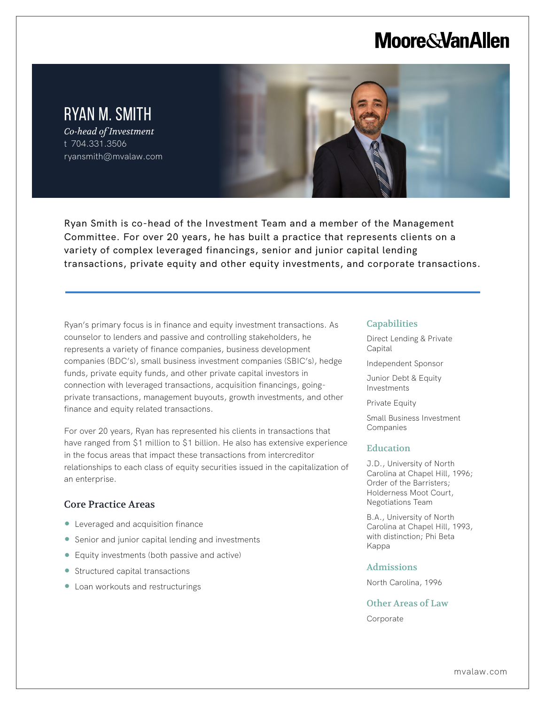## **Moore & Van Allen**



L

Ryan Smith is co-head of the Investment Team and a member of the Management Committee. For over 20 years, he has built a practice that represents clients on a variety of complex leveraged financings, senior and junior capital lending transactions, private equity and other equity investments, and corporate transactions.

Ryan's primary focus is in finance and equity investment transactions. As counselor to lenders and passive and controlling stakeholders, he represents a variety of finance companies, business development companies (BDC's), small business investment companies (SBIC's), hedge funds, private equity funds, and other private capital investors in connection with leveraged transactions, acquisition financings, goingprivate transactions, management buyouts, growth investments, and other finance and equity related transactions.

For over 20 years, Ryan has represented his clients in transactions that have ranged from \$1 million to \$1 billion. He also has extensive experience in the focus areas that impact these transactions from intercreditor relationships to each class of equity securities issued in the capitalization of an enterprise.

## Core Practice Areas

- Leveraged and acquisition finance
- Senior and junior capital lending and investments
- Equity investments (both passive and active)
- Structured capital transactions
- Loan workouts and restructurings

#### **Capabilities**

- Direct Lending & Private Capital
- Independent Sponsor
- Junior Debt & Equity Investments

Private Equity

Small Business Investment Companies

### **Education**

J.D., University of North Carolina at Chapel Hill, 1996; Order of the Barristers; Holderness Moot Court, Negotiations Team

B.A., University of North Carolina at Chapel Hill, 1993, with distinction; Phi Beta Kappa

#### Admissions

North Carolina, 1996

Other Areas of Law

Corporate